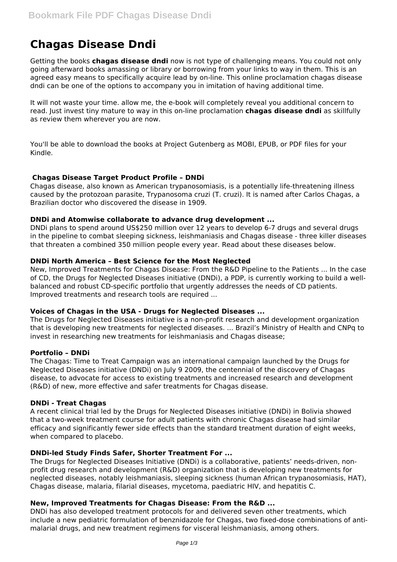# **Chagas Disease Dndi**

Getting the books **chagas disease dndi** now is not type of challenging means. You could not only going afterward books amassing or library or borrowing from your links to way in them. This is an agreed easy means to specifically acquire lead by on-line. This online proclamation chagas disease dndi can be one of the options to accompany you in imitation of having additional time.

It will not waste your time. allow me, the e-book will completely reveal you additional concern to read. Just invest tiny mature to way in this on-line proclamation **chagas disease dndi** as skillfully as review them wherever you are now.

You'll be able to download the books at Project Gutenberg as MOBI, EPUB, or PDF files for your Kindle.

## **Chagas Disease Target Product Profile – DNDi**

Chagas disease, also known as American trypanosomiasis, is a potentially life-threatening illness caused by the protozoan parasite, Trypanosoma cruzi (T. cruzi). It is named after Carlos Chagas, a Brazilian doctor who discovered the disease in 1909.

## **DNDi and Atomwise collaborate to advance drug development ...**

DNDi plans to spend around US\$250 million over 12 years to develop 6-7 drugs and several drugs in the pipeline to combat sleeping sickness, leishmaniasis and Chagas disease - three killer diseases that threaten a combined 350 million people every year. Read about these diseases below.

## **DNDi North America – Best Science for the Most Neglected**

New, Improved Treatments for Chagas Disease: From the R&D Pipeline to the Patients ... In the case of CD, the Drugs for Neglected Diseases initiative (DNDi), a PDP, is currently working to build a wellbalanced and robust CD-specific portfolio that urgently addresses the needs of CD patients. Improved treatments and research tools are required ...

### **Voices of Chagas in the USA - Drugs for Neglected Diseases ...**

The Drugs for Neglected Diseases initiative is a non-profit research and development organization that is developing new treatments for neglected diseases. ... Brazil's Ministry of Health and CNPq to invest in researching new treatments for leishmaniasis and Chagas disease;

### **Portfolio – DNDi**

The Chagas: Time to Treat Campaign was an international campaign launched by the Drugs for Neglected Diseases initiative (DNDi) on July 9 2009, the centennial of the discovery of Chagas disease, to advocate for access to existing treatments and increased research and development (R&D) of new, more effective and safer treatments for Chagas disease.

### **DNDi - Treat Chagas**

A recent clinical trial led by the Drugs for Neglected Diseases initiative (DNDi) in Bolivia showed that a two-week treatment course for adult patients with chronic Chagas disease had similar efficacy and significantly fewer side effects than the standard treatment duration of eight weeks, when compared to placebo.

### **DNDi-led Study Finds Safer, Shorter Treatment For ...**

The Drugs for Neglected Diseases Initiative (DNDi) is a collaborative, patients' needs-driven, nonprofit drug research and development (R&D) organization that is developing new treatments for neglected diseases, notably leishmaniasis, sleeping sickness (human African trypanosomiasis, HAT), Chagas disease, malaria, filarial diseases, mycetoma, paediatric HIV, and hepatitis C.

# **New, Improved Treatments for Chagas Disease: From the R&D ...**

DNDi has also developed treatment protocols for and delivered seven other treatments, which include a new pediatric formulation of benznidazole for Chagas, two fixed-dose combinations of antimalarial drugs, and new treatment regimens for visceral leishmaniasis, among others.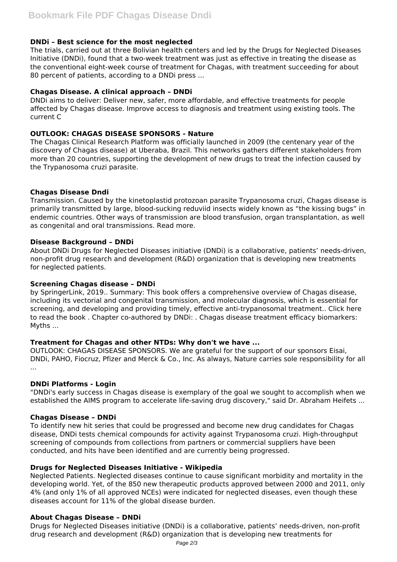## **DNDi – Best science for the most neglected**

The trials, carried out at three Bolivian health centers and led by the Drugs for Neglected Diseases Initiative (DNDi), found that a two-week treatment was just as effective in treating the disease as the conventional eight-week course of treatment for Chagas, with treatment succeeding for about 80 percent of patients, according to a DNDi press ...

## **Chagas Disease. A clinical approach – DNDi**

DNDi aims to deliver: Deliver new, safer, more affordable, and effective treatments for people affected by Chagas disease. Improve access to diagnosis and treatment using existing tools. The current C

## **OUTLOOK: CHAGAS DISEASE SPONSORS - Nature**

The Chagas Clinical Research Platform was officially launched in 2009 (the centenary year of the discovery of Chagas disease) at Uberaba, Brazil. This networks gathers different stakeholders from more than 20 countries, supporting the development of new drugs to treat the infection caused by the Trypanosoma cruzi parasite.

## **Chagas Disease Dndi**

Transmission. Caused by the kinetoplastid protozoan parasite Trypanosoma cruzi, Chagas disease is primarily transmitted by large, blood-sucking reduviid insects widely known as "the kissing bugs" in endemic countries. Other ways of transmission are blood transfusion, organ transplantation, as well as congenital and oral transmissions. Read more.

## **Disease Background – DNDi**

About DNDi Drugs for Neglected Diseases initiative (DNDi) is a collaborative, patients' needs-driven, non-profit drug research and development (R&D) organization that is developing new treatments for neglected patients.

### **Screening Chagas disease – DNDi**

by SpringerLink, 2019.. Summary: This book offers a comprehensive overview of Chagas disease, including its vectorial and congenital transmission, and molecular diagnosis, which is essential for screening, and developing and providing timely, effective anti-trypanosomal treatment.. Click here to read the book . Chapter co-authored by DNDi: . Chagas disease treatment efficacy biomarkers: Myths ...

### **Treatment for Chagas and other NTDs: Why don't we have ...**

OUTLOOK: CHAGAS DISEASE SPONSORS. We are grateful for the support of our sponsors Eisai, DNDi, PAHO, Fiocruz, Pfizer and Merck & Co., Inc. As always, Nature carries sole responsibility for all ...

# **DNDi Platforms - Login**

"DNDi's early success in Chagas disease is exemplary of the goal we sought to accomplish when we established the AIMS program to accelerate life-saving drug discovery," said Dr. Abraham Heifets ...

### **Chagas Disease – DNDi**

To identify new hit series that could be progressed and become new drug candidates for Chagas disease, DNDi tests chemical compounds for activity against Trypanosoma cruzi. High-throughput screening of compounds from collections from partners or commercial suppliers have been conducted, and hits have been identified and are currently being progressed.

### **Drugs for Neglected Diseases Initiative - Wikipedia**

Neglected Patients. Neglected diseases continue to cause significant morbidity and mortality in the developing world. Yet, of the 850 new therapeutic products approved between 2000 and 2011, only 4% (and only 1% of all approved NCEs) were indicated for neglected diseases, even though these diseases account for 11% of the global disease burden.

### **About Chagas Disease – DNDi**

Drugs for Neglected Diseases initiative (DNDi) is a collaborative, patients' needs-driven, non-profit drug research and development (R&D) organization that is developing new treatments for